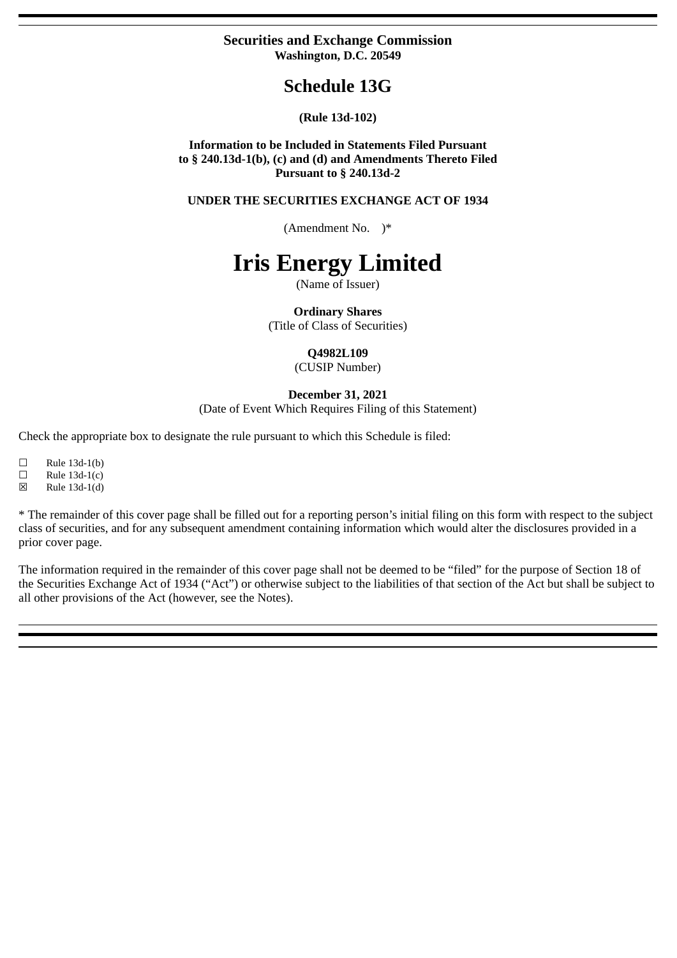# **Securities and Exchange Commission Washington, D.C. 20549**

# **Schedule 13G**

# **(Rule 13d-102)**

**Information to be Included in Statements Filed Pursuant to § 240.13d-1(b), (c) and (d) and Amendments Thereto Filed Pursuant to § 240.13d-2**

**UNDER THE SECURITIES EXCHANGE ACT OF 1934**

(Amendment No. )\*

# **Iris Energy Limited**

(Name of Issuer)

**Ordinary Shares**

(Title of Class of Securities)

## **Q4982L109**

(CUSIP Number)

#### **December 31, 2021**

(Date of Event Which Requires Filing of this Statement)

Check the appropriate box to designate the rule pursuant to which this Schedule is filed:

 $\Box$  Rule 13d-1(b)

 $\Box$  Rule 13d-1(c)

☒ Rule 13d-1(d)

\* The remainder of this cover page shall be filled out for a reporting person's initial filing on this form with respect to the subject class of securities, and for any subsequent amendment containing information which would alter the disclosures provided in a prior cover page.

The information required in the remainder of this cover page shall not be deemed to be "filed" for the purpose of Section 18 of the Securities Exchange Act of 1934 ("Act") or otherwise subject to the liabilities of that section of the Act but shall be subject to all other provisions of the Act (however, see the Notes).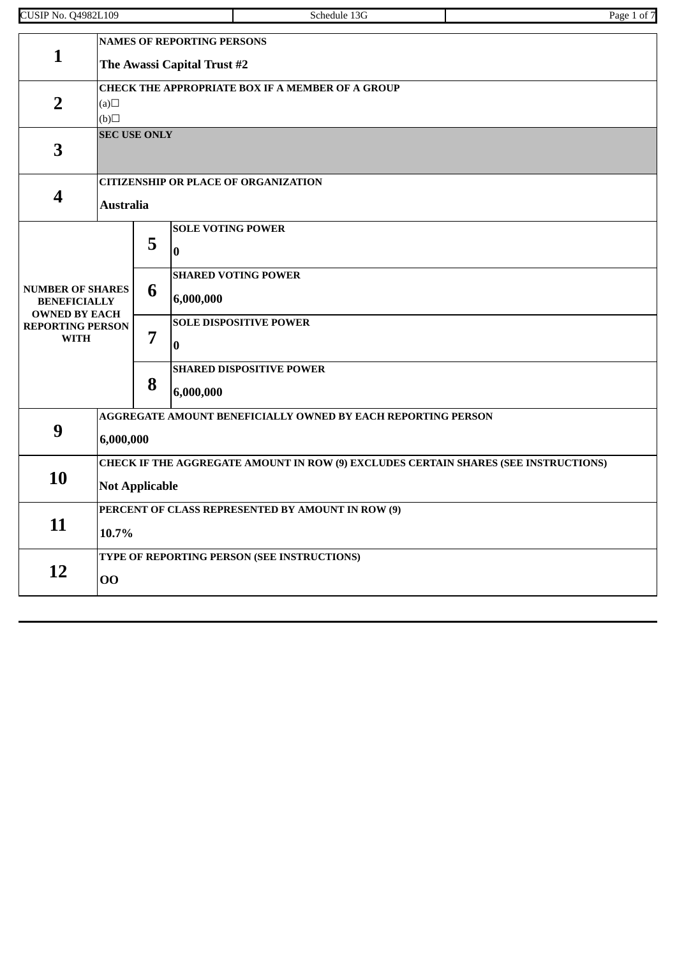| <b>CUSIP No. Q4982L109</b>                                             |                                                                                                              |                                                                  | Schedule 13G                                        | Page 1 of 7 |  |  |  |  |
|------------------------------------------------------------------------|--------------------------------------------------------------------------------------------------------------|------------------------------------------------------------------|-----------------------------------------------------|-------------|--|--|--|--|
| $\mathbf{1}$                                                           |                                                                                                              | <b>NAMES OF REPORTING PERSONS</b><br>The Awassi Capital Trust #2 |                                                     |             |  |  |  |  |
| $\overline{2}$                                                         | CHECK THE APPROPRIATE BOX IF A MEMBER OF A GROUP<br>(a)<br>$\Box(b)$                                         |                                                                  |                                                     |             |  |  |  |  |
| 3                                                                      | <b>SEC USE ONLY</b>                                                                                          |                                                                  |                                                     |             |  |  |  |  |
| 4                                                                      | <b>CITIZENSHIP OR PLACE OF ORGANIZATION</b><br><b>Australia</b>                                              |                                                                  |                                                     |             |  |  |  |  |
|                                                                        |                                                                                                              | 5                                                                | <b>SOLE VOTING POWER</b><br>$\overline{\mathbf{0}}$ |             |  |  |  |  |
| <b>NUMBER OF SHARES</b><br><b>BENEFICIALLY</b><br><b>OWNED BY EACH</b> |                                                                                                              | <b>SHARED VOTING POWER</b><br>6<br>6,000,000                     |                                                     |             |  |  |  |  |
| <b>REPORTING PERSON</b><br><b>WITH</b>                                 |                                                                                                              | 7                                                                | <b>SOLE DISPOSITIVE POWER</b><br>$\bf{0}$           |             |  |  |  |  |
|                                                                        |                                                                                                              | 8                                                                | <b>SHARED DISPOSITIVE POWER</b><br>6,000,000        |             |  |  |  |  |
| 9                                                                      | AGGREGATE AMOUNT BENEFICIALLY OWNED BY EACH REPORTING PERSON<br>6,000,000                                    |                                                                  |                                                     |             |  |  |  |  |
| 10                                                                     | CHECK IF THE AGGREGATE AMOUNT IN ROW (9) EXCLUDES CERTAIN SHARES (SEE INSTRUCTIONS)<br><b>Not Applicable</b> |                                                                  |                                                     |             |  |  |  |  |
| 11                                                                     | PERCENT OF CLASS REPRESENTED BY AMOUNT IN ROW (9)<br>10.7%                                                   |                                                                  |                                                     |             |  |  |  |  |
| 12                                                                     | TYPE OF REPORTING PERSON (SEE INSTRUCTIONS)<br>00                                                            |                                                                  |                                                     |             |  |  |  |  |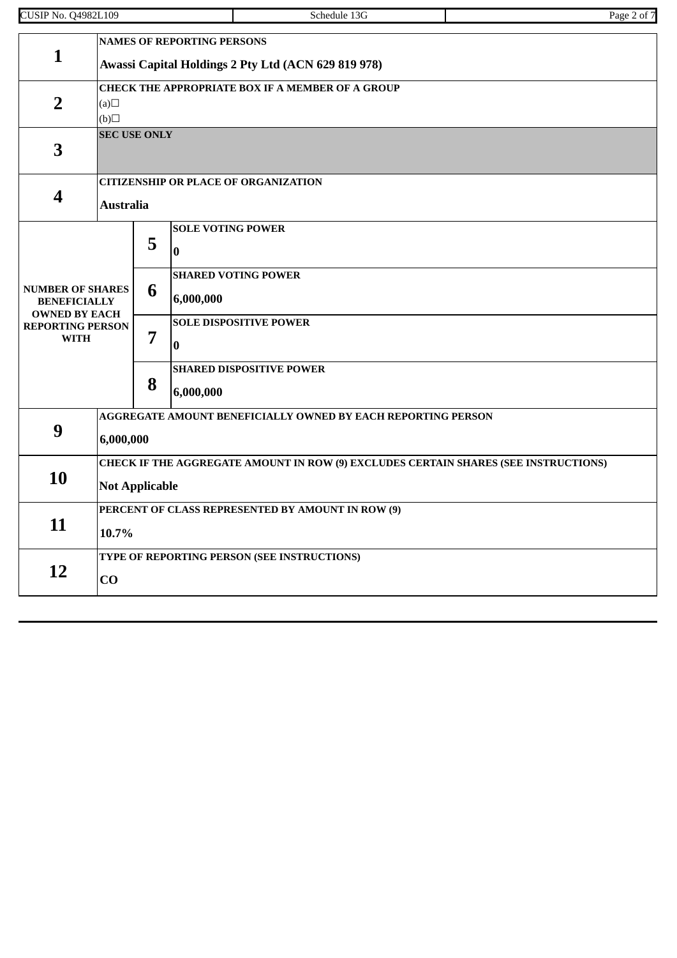| <b>CUSIP No. Q4982L109</b>                                             |                                                                                                              |                                                                                          | Schedule 13G                                 | Page 2 of 7 |  |  |  |  |
|------------------------------------------------------------------------|--------------------------------------------------------------------------------------------------------------|------------------------------------------------------------------------------------------|----------------------------------------------|-------------|--|--|--|--|
| 1                                                                      |                                                                                                              | <b>NAMES OF REPORTING PERSONS</b><br>Awassi Capital Holdings 2 Pty Ltd (ACN 629 819 978) |                                              |             |  |  |  |  |
| $\overline{2}$                                                         | <b>CHECK THE APPROPRIATE BOX IF A MEMBER OF A GROUP</b><br>(a)<br>(b)                                        |                                                                                          |                                              |             |  |  |  |  |
| 3                                                                      | <b>SEC USE ONLY</b>                                                                                          |                                                                                          |                                              |             |  |  |  |  |
| 4                                                                      | <b>CITIZENSHIP OR PLACE OF ORGANIZATION</b><br><b>Australia</b>                                              |                                                                                          |                                              |             |  |  |  |  |
|                                                                        |                                                                                                              | 5                                                                                        | <b>SOLE VOTING POWER</b><br>$\bf{0}$         |             |  |  |  |  |
| <b>NUMBER OF SHARES</b><br><b>BENEFICIALLY</b><br><b>OWNED BY EACH</b> |                                                                                                              | 6                                                                                        | <b>SHARED VOTING POWER</b><br>6,000,000      |             |  |  |  |  |
| <b>REPORTING PERSON</b><br><b>WITH</b>                                 |                                                                                                              | 7                                                                                        | <b>SOLE DISPOSITIVE POWER</b><br>$\bf{0}$    |             |  |  |  |  |
|                                                                        |                                                                                                              | 8                                                                                        | <b>SHARED DISPOSITIVE POWER</b><br>6,000,000 |             |  |  |  |  |
| 9                                                                      | AGGREGATE AMOUNT BENEFICIALLY OWNED BY EACH REPORTING PERSON<br>6,000,000                                    |                                                                                          |                                              |             |  |  |  |  |
| 10                                                                     | CHECK IF THE AGGREGATE AMOUNT IN ROW (9) EXCLUDES CERTAIN SHARES (SEE INSTRUCTIONS)<br><b>Not Applicable</b> |                                                                                          |                                              |             |  |  |  |  |
| 11                                                                     | PERCENT OF CLASS REPRESENTED BY AMOUNT IN ROW (9)<br>10.7%                                                   |                                                                                          |                                              |             |  |  |  |  |
| <b>12</b>                                                              | TYPE OF REPORTING PERSON (SEE INSTRUCTIONS)<br>CO                                                            |                                                                                          |                                              |             |  |  |  |  |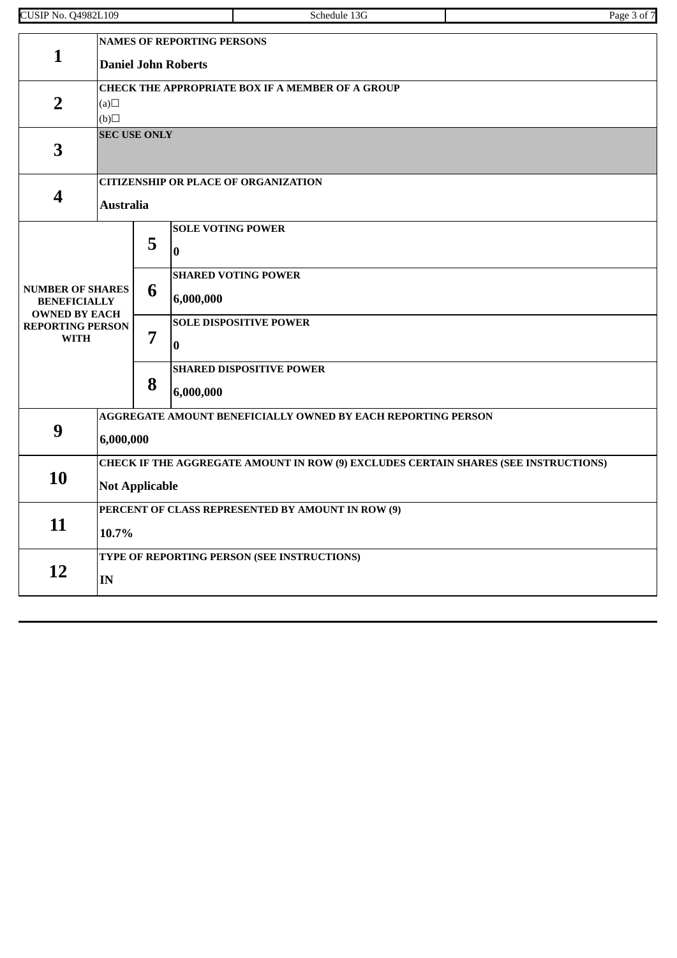| <b>CUSIP No. Q4982L109</b>                                             |                                                                                                              |   |                                      | Schedule 13G                    | Page 3 of 7 |  |  |  |
|------------------------------------------------------------------------|--------------------------------------------------------------------------------------------------------------|---|--------------------------------------|---------------------------------|-------------|--|--|--|
| $\mathbf{1}$                                                           | <b>NAMES OF REPORTING PERSONS</b><br><b>Daniel John Roberts</b>                                              |   |                                      |                                 |             |  |  |  |
| $\overline{2}$                                                         | <b>CHECK THE APPROPRIATE BOX IF A MEMBER OF A GROUP</b><br>(a)<br>(b)                                        |   |                                      |                                 |             |  |  |  |
| 3                                                                      | <b>SEC USE ONLY</b>                                                                                          |   |                                      |                                 |             |  |  |  |
| $\overline{\mathbf{4}}$                                                | <b>CITIZENSHIP OR PLACE OF ORGANIZATION</b><br><b>Australia</b>                                              |   |                                      |                                 |             |  |  |  |
|                                                                        |                                                                                                              | 5 | <b>SOLE VOTING POWER</b><br>$\bf{0}$ |                                 |             |  |  |  |
| <b>NUMBER OF SHARES</b><br><b>BENEFICIALLY</b><br><b>OWNED BY EACH</b> |                                                                                                              | 6 | 6,000,000                            | <b>SHARED VOTING POWER</b>      |             |  |  |  |
| <b>REPORTING PERSON</b><br><b>WITH</b>                                 |                                                                                                              | 7 | $\bf{0}$                             | <b>SOLE DISPOSITIVE POWER</b>   |             |  |  |  |
|                                                                        |                                                                                                              | 8 | 6,000,000                            | <b>SHARED DISPOSITIVE POWER</b> |             |  |  |  |
| 9                                                                      | AGGREGATE AMOUNT BENEFICIALLY OWNED BY EACH REPORTING PERSON<br>6,000,000                                    |   |                                      |                                 |             |  |  |  |
| 10                                                                     | CHECK IF THE AGGREGATE AMOUNT IN ROW (9) EXCLUDES CERTAIN SHARES (SEE INSTRUCTIONS)<br><b>Not Applicable</b> |   |                                      |                                 |             |  |  |  |
| 11                                                                     | PERCENT OF CLASS REPRESENTED BY AMOUNT IN ROW (9)<br>10.7%                                                   |   |                                      |                                 |             |  |  |  |
| 12                                                                     | TYPE OF REPORTING PERSON (SEE INSTRUCTIONS)<br>IN                                                            |   |                                      |                                 |             |  |  |  |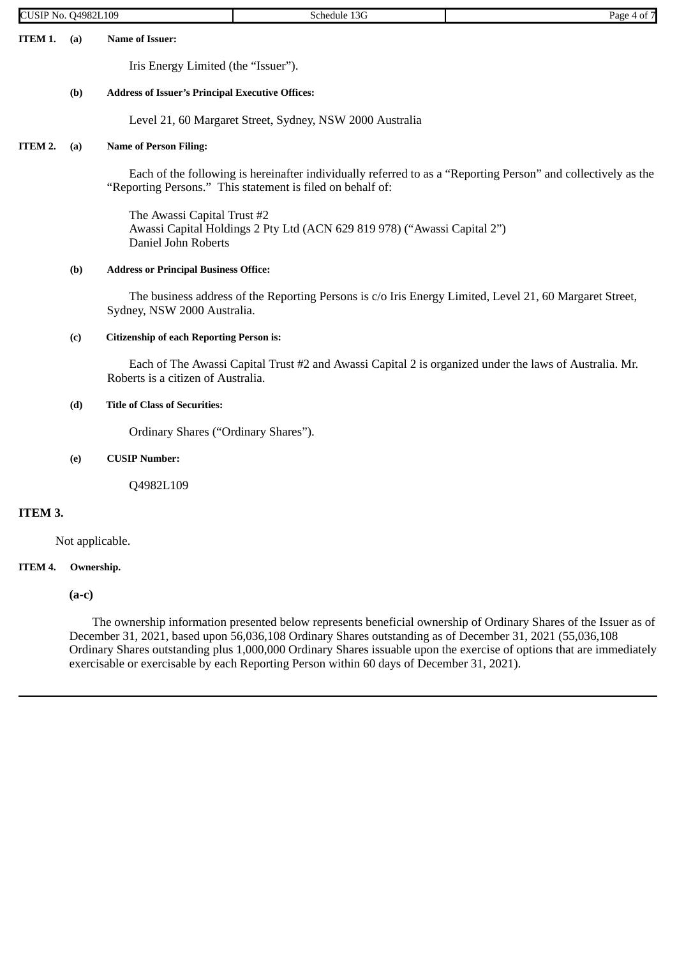| <b>CUSIP No. Q4982L109</b> |                 |                                                         | Schedule 13G                                                                                                                                                                | Page 4 of 7 |
|----------------------------|-----------------|---------------------------------------------------------|-----------------------------------------------------------------------------------------------------------------------------------------------------------------------------|-------------|
| ITEM 1.                    | (a)             | Name of Issuer:                                         |                                                                                                                                                                             |             |
|                            |                 | Iris Energy Limited (the "Issuer").                     |                                                                                                                                                                             |             |
|                            | (b)             | <b>Address of Issuer's Principal Executive Offices:</b> |                                                                                                                                                                             |             |
|                            |                 |                                                         | Level 21, 60 Margaret Street, Sydney, NSW 2000 Australia                                                                                                                    |             |
| ITEM 2.                    | (a)             | <b>Name of Person Filing:</b>                           |                                                                                                                                                                             |             |
|                            |                 |                                                         | Each of the following is hereinafter individually referred to as a "Reporting Person" and collectively as the<br>"Reporting Persons." This statement is filed on behalf of: |             |
|                            |                 | The Awassi Capital Trust #2<br>Daniel John Roberts      | Awassi Capital Holdings 2 Pty Ltd (ACN 629 819 978) ("Awassi Capital 2")                                                                                                    |             |
|                            | (b)             | <b>Address or Principal Business Office:</b>            |                                                                                                                                                                             |             |
|                            |                 | Sydney, NSW 2000 Australia.                             | The business address of the Reporting Persons is c/o Iris Energy Limited, Level 21, 60 Margaret Street,                                                                     |             |
|                            | (c)             | <b>Citizenship of each Reporting Person is:</b>         |                                                                                                                                                                             |             |
|                            |                 | Roberts is a citizen of Australia.                      | Each of The Awassi Capital Trust #2 and Awassi Capital 2 is organized under the laws of Australia. Mr.                                                                      |             |
|                            | (d)             | <b>Title of Class of Securities:</b>                    |                                                                                                                                                                             |             |
|                            |                 | Ordinary Shares ("Ordinary Shares").                    |                                                                                                                                                                             |             |
|                            | (e)             | <b>CUSIP Number:</b>                                    |                                                                                                                                                                             |             |
|                            |                 | Q4982L109                                               |                                                                                                                                                                             |             |
| ITEM 3.                    |                 |                                                         |                                                                                                                                                                             |             |
|                            | Not applicable. |                                                         |                                                                                                                                                                             |             |

**(a-c)**

The ownership information presented below represents beneficial ownership of Ordinary Shares of the Issuer as of December 31, 2021, based upon 56,036,108 Ordinary Shares outstanding as of December 31, 2021 (55,036,108 Ordinary Shares outstanding plus 1,000,000 Ordinary Shares issuable upon the exercise of options that are immediately exercisable or exercisable by each Reporting Person within 60 days of December 31, 2021).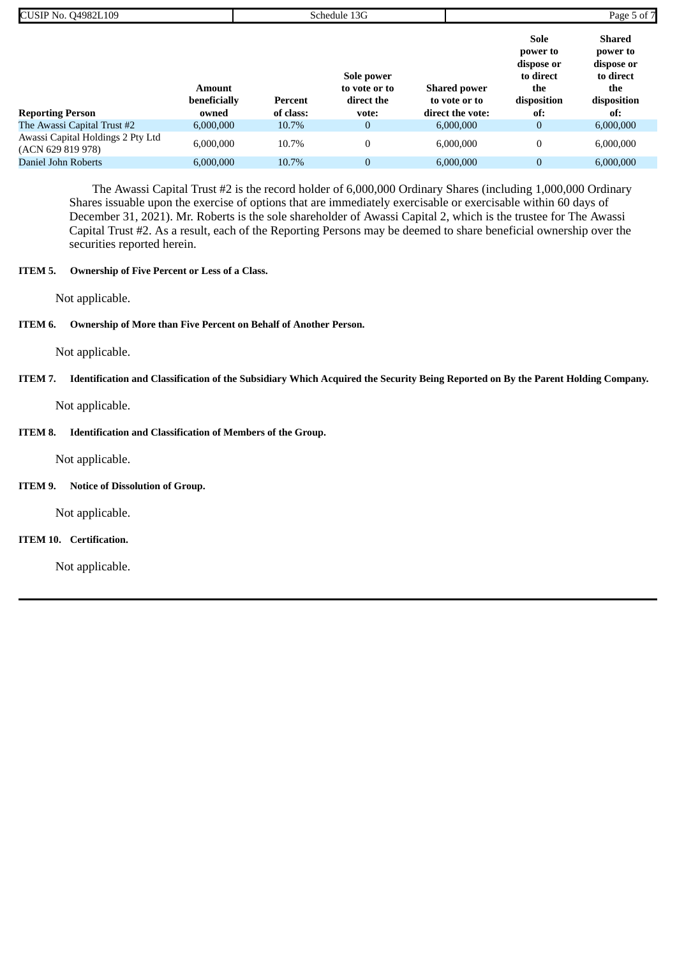| <b>CUSIP No. Q4982L109</b>                             |                               |           | Schedule 13G                              |                                      |                                                                   | Page 5 of 7                                                                |  |
|--------------------------------------------------------|-------------------------------|-----------|-------------------------------------------|--------------------------------------|-------------------------------------------------------------------|----------------------------------------------------------------------------|--|
|                                                        | <b>Amount</b><br>beneficially | Percent   | Sole power<br>to vote or to<br>direct the | <b>Shared power</b><br>to vote or to | Sole<br>power to<br>dispose or<br>to direct<br>the<br>disposition | <b>Shared</b><br>power to<br>dispose or<br>to direct<br>the<br>disposition |  |
| <b>Reporting Person</b>                                | owned                         | of class: | vote:                                     | direct the vote:                     | of:                                                               | of:                                                                        |  |
| The Awassi Capital Trust #2                            | 6.000.000                     | 10.7%     | $\overline{0}$                            | 6,000,000                            | $\overline{0}$                                                    | 6,000,000                                                                  |  |
| Awassi Capital Holdings 2 Pty Ltd<br>(ACN 629 819 978) | 6,000,000                     | 10.7%     |                                           | 6,000,000                            |                                                                   | 6,000,000                                                                  |  |
| Daniel John Roberts                                    | 6,000,000                     | 10.7%     | $\overline{0}$                            | 6,000,000                            | $\overline{0}$                                                    | 6,000,000                                                                  |  |

The Awassi Capital Trust #2 is the record holder of 6,000,000 Ordinary Shares (including 1,000,000 Ordinary Shares issuable upon the exercise of options that are immediately exercisable or exercisable within 60 days of December 31, 2021). Mr. Roberts is the sole shareholder of Awassi Capital 2, which is the trustee for The Awassi Capital Trust #2. As a result, each of the Reporting Persons may be deemed to share beneficial ownership over the securities reported herein.

## **ITEM 5. Ownership of Five Percent or Less of a Class.**

Not applicable.

#### **ITEM 6. Ownership of More than Five Percent on Behalf of Another Person.**

Not applicable.

# ITEM 7. Identification and Classification of the Subsidiary Which Acquired the Security Being Reported on By the Parent Holding Company.

Not applicable.

# **ITEM 8. Identification and Classification of Members of the Group.**

Not applicable.

#### **ITEM 9. Notice of Dissolution of Group.**

Not applicable.

# **ITEM 10. Certification.**

Not applicable.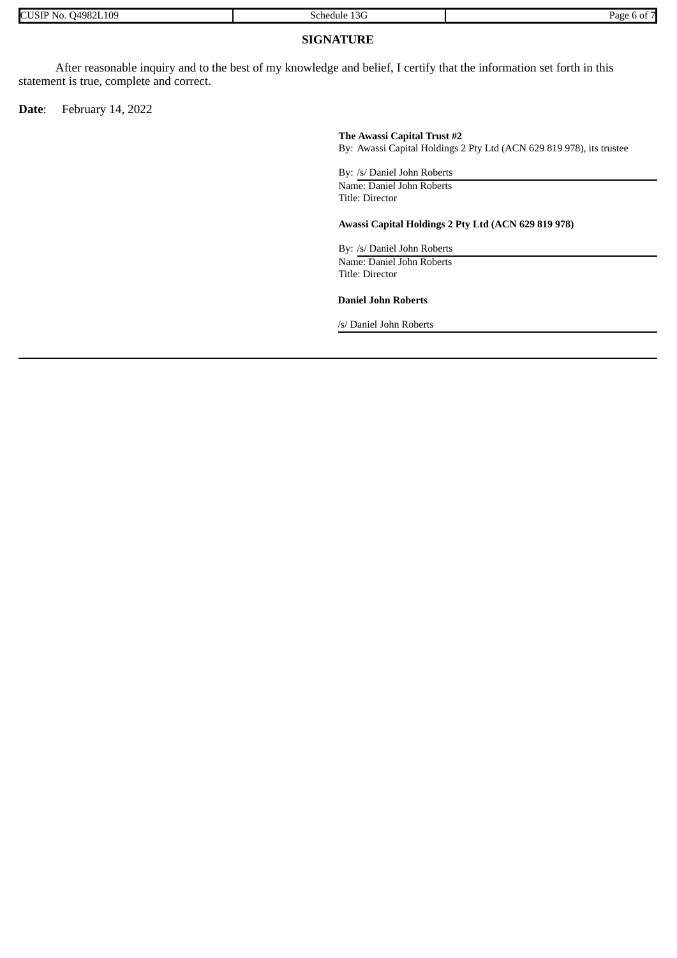| <b>CUSIP</b><br>24982L109<br>D<br>No. | 13G<br>chedule | Page |
|---------------------------------------|----------------|------|

## **SIGNATURE**

After reasonable inquiry and to the best of my knowledge and belief, I certify that the information set forth in this statement is true, complete and correct.

**Date**: February 14, 2022

#### **The Awassi Capital Trust #2**

By: Awassi Capital Holdings 2 Pty Ltd (ACN 629 819 978), its trustee

By: /s/ Daniel John Roberts Name: Daniel John Roberts Title: Director

#### **Awassi Capital Holdings 2 Pty Ltd (ACN 629 819 978)**

By: /s/ Daniel John Roberts Name: Daniel John Roberts Title: Director

**Daniel John Roberts**

/s/ Daniel John Roberts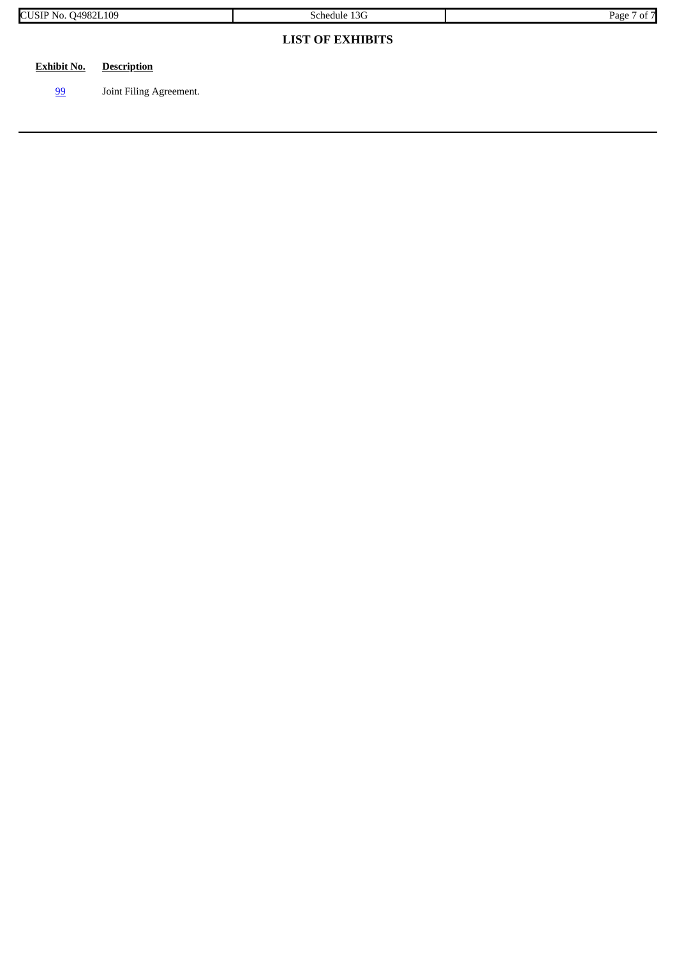| <b>CUSIP No. Q4982L109</b> |                         | Schedule 13G            | Page 7 of 7 |
|----------------------------|-------------------------|-------------------------|-------------|
|                            |                         | <b>LIST OF EXHIBITS</b> |             |
| <b>Exhibit No.</b>         | <b>Description</b>      |                         |             |
| <u>99</u>                  | Joint Filing Agreement. |                         |             |